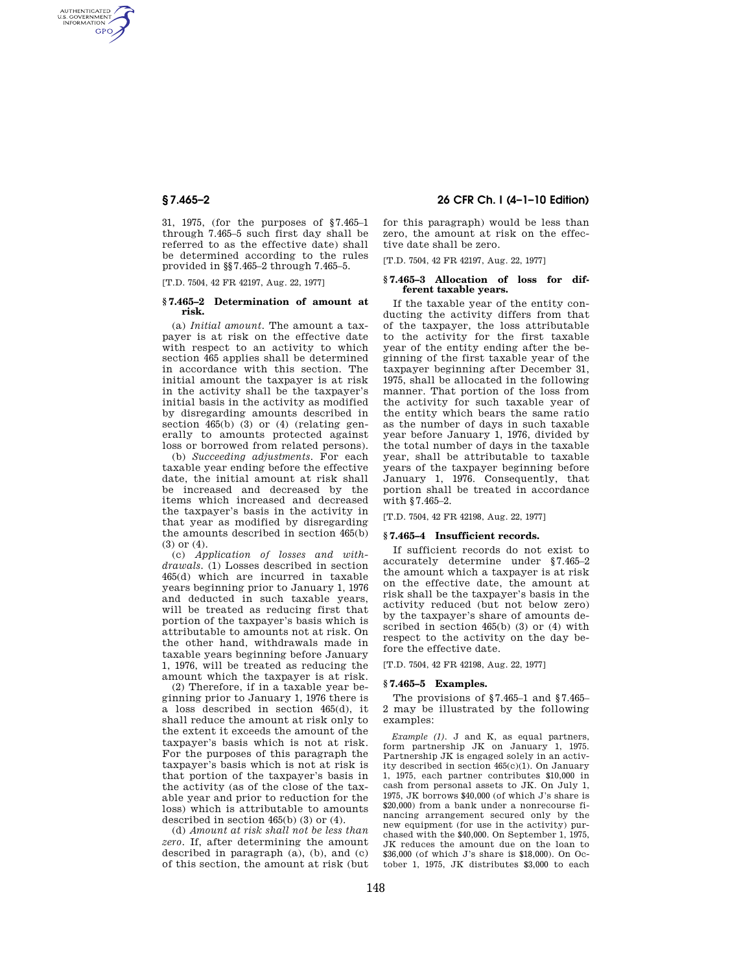AUTHENTICATED<br>U.S. GOVERNMENT<br>INFORMATION **GPO** 

> 31, 1975, (for the purposes of §7.465–1 through 7.465–5 such first day shall be referred to as the effective date) shall be determined according to the rules provided in §§7.465–2 through 7.465–5.

[T.D. 7504, 42 FR 42197, Aug. 22, 1977]

#### **§ 7.465–2 Determination of amount at risk.**

(a) *Initial amount.* The amount a taxpayer is at risk on the effective date with respect to an activity to which section 465 applies shall be determined in accordance with this section. The initial amount the taxpayer is at risk in the activity shall be the taxpayer's initial basis in the activity as modified by disregarding amounts described in section 465(b) (3) or (4) (relating generally to amounts protected against loss or borrowed from related persons).

(b) *Succeeding adjustments.* For each taxable year ending before the effective date, the initial amount at risk shall be increased and decreased by the items which increased and decreased the taxpayer's basis in the activity in that year as modified by disregarding the amounts described in section 465(b) (3) or (4).

(c) *Application of losses and withdrawals.* (1) Losses described in section 465(d) which are incurred in taxable years beginning prior to January 1, 1976 and deducted in such taxable years, will be treated as reducing first that portion of the taxpayer's basis which is attributable to amounts not at risk. On the other hand, withdrawals made in taxable years beginning before January 1, 1976, will be treated as reducing the amount which the taxpayer is at risk.

(2) Therefore, if in a taxable year beginning prior to January 1, 1976 there is a loss described in section 465(d), it shall reduce the amount at risk only to the extent it exceeds the amount of the taxpayer's basis which is not at risk. For the purposes of this paragraph the taxpayer's basis which is not at risk is that portion of the taxpayer's basis in the activity (as of the close of the taxable year and prior to reduction for the loss) which is attributable to amounts described in section 465(b) (3) or (4).

(d) *Amount at risk shall not be less than zero.* If, after determining the amount described in paragraph (a), (b), and (c) of this section, the amount at risk (but

**§ 7.465–2 26 CFR Ch. I (4–1–10 Edition)** 

for this paragraph) would be less than zero, the amount at risk on the effective date shall be zero.

[T.D. 7504, 42 FR 42197, Aug. 22, 1977]

#### **§ 7.465–3 Allocation of loss for different taxable years.**

If the taxable year of the entity conducting the activity differs from that of the taxpayer, the loss attributable to the activity for the first taxable year of the entity ending after the beginning of the first taxable year of the taxpayer beginning after December 31, 1975, shall be allocated in the following manner. That portion of the loss from the activity for such taxable year of the entity which bears the same ratio as the number of days in such taxable year before January 1, 1976, divided by the total number of days in the taxable year, shall be attributable to taxable years of the taxpayer beginning before January 1, 1976. Consequently, that portion shall be treated in accordance with §7.465–2.

[T.D. 7504, 42 FR 42198, Aug. 22, 1977]

## **§ 7.465–4 Insufficient records.**

If sufficient records do not exist to accurately determine under §7.465–2 the amount which a taxpayer is at risk on the effective date, the amount at risk shall be the taxpayer's basis in the activity reduced (but not below zero) by the taxpayer's share of amounts described in section 465(b) (3) or (4) with respect to the activity on the day before the effective date.

[T.D. 7504, 42 FR 42198, Aug. 22, 1977]

# **§ 7.465–5 Examples.**

The provisions of §7.465–1 and §7.465– 2 may be illustrated by the following examples:

*Example (1).* J and K, as equal partners, form partnership JK on January 1, 1975. Partnership JK is engaged solely in an activity described in section 465(c)(1). On January 1, 1975, each partner contributes \$10,000 in cash from personal assets to JK. On July 1, 1975, JK borrows \$40,000 (of which J's share is \$20,000) from a bank under a nonrecourse financing arrangement secured only by the new equipment (for use in the activity) purchased with the \$40,000. On September 1, 1975, JK reduces the amount due on the loan to \$36,000 (of which J's share is \$18,000). On October 1, 1975, JK distributes \$3,000 to each